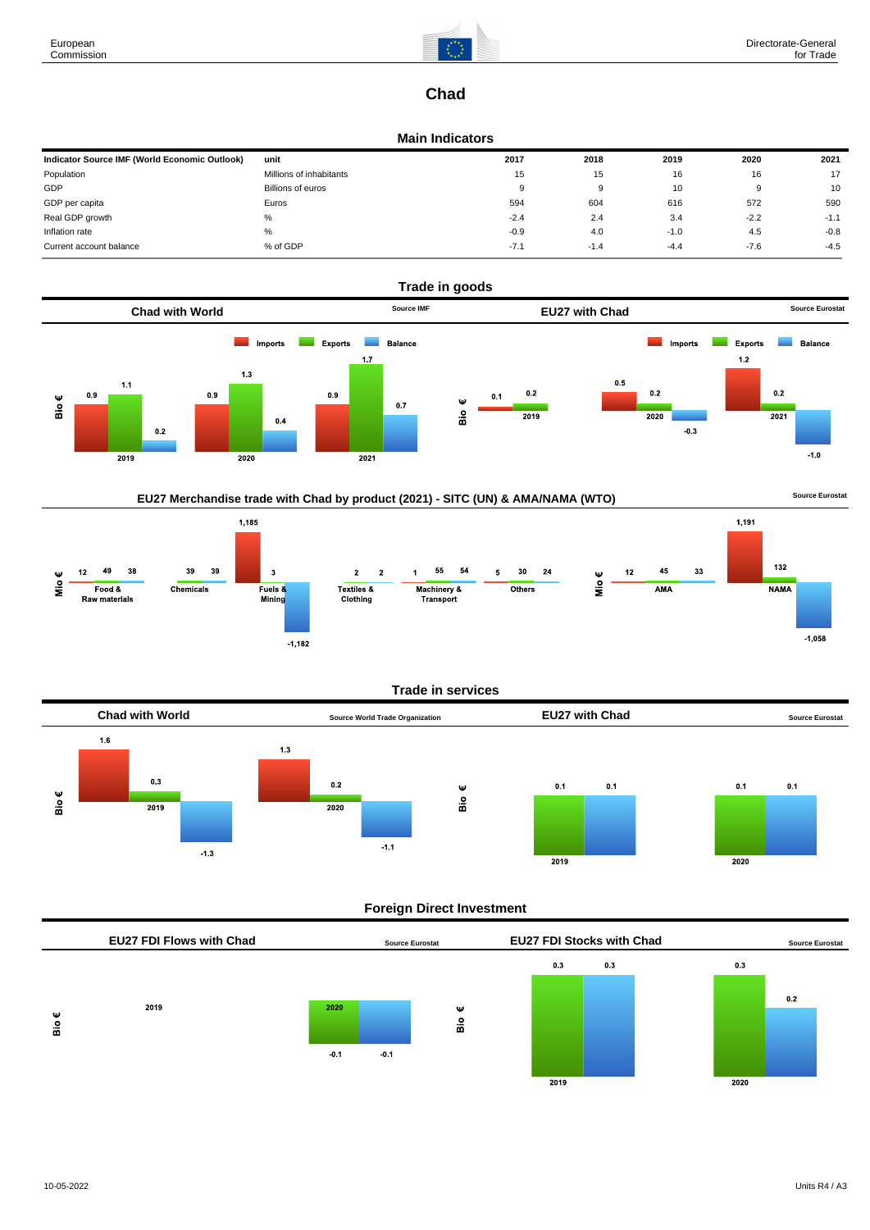

# **Chad**

### **Main Indicators**

| Indicator Source IMF (World Economic Outlook) | unit                    | 2017   | 2018   | 2019   | 2020   | 2021   |
|-----------------------------------------------|-------------------------|--------|--------|--------|--------|--------|
| Population                                    | Millions of inhabitants | 15     | 15     | 16     | 16     | 17     |
| GDP                                           | Billions of euros       | 9      | a      | 10     | 9      | 10     |
| GDP per capita                                | Euros                   | 594    | 604    | 616    | 572    | 590    |
| Real GDP growth                               | %                       | $-2.4$ | 2.4    | 3.4    | $-2.2$ | $-1.1$ |
| Inflation rate                                | %                       | $-0.9$ | 4.0    | $-1.0$ | 4.5    | $-0.8$ |
| Current account balance                       | % of GDP                | $-7.1$ | $-1.4$ | $-4.4$ | $-7.6$ | $-4.5$ |



## EU27 Merchandise trade with Chad by product (2021) - SITC (UN) & AMA/NAMA (WTO) **Source Eurostat**





#### **Trade in services**



### **Foreign Direct Investment**